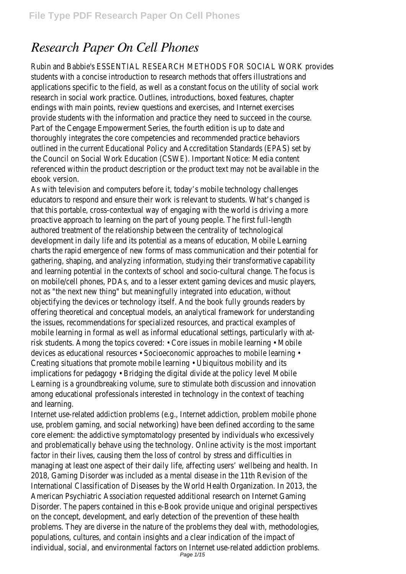# *Research Paper On Cell Phones*

Rubin and Babbie's ESSENTIAL RESEARCH METHODS FOR SOCIAL WORK provides students with a concise introduction to research methods that offers illustrations and applications specific to the field, as well as a constant focus on the utility of social work research in social work practice. Outlines, introductions, boxed features, chapter endings with main points, review questions and exercises, and Internet exercises provide students with the information and practice they need to succeed in the course. Part of the Cengage Empowerment Series, the fourth edition is up to date and thoroughly integrates the core competencies and recommended practice behaviors outlined in the current Educational Policy and Accreditation Standards (EPAS) set by the Council on Social Work Education (CSWE). Important Notice: Media content referenced within the product description or the product text may not be available in the ebook version.

As with television and computers before it, today's mobile technology challenges educators to respond and ensure their work is relevant to students. What's changed is that this portable, cross-contextual way of engaging with the world is driving a more proactive approach to learning on the part of young people. The first full-length authored treatment of the relationship between the centrality of technological development in daily life and its potential as a means of education, Mobile Learning charts the rapid emergence of new forms of mass communication and their potential for gathering, shaping, and analyzing information, studying their transformative capability and learning potential in the contexts of school and socio-cultural change. The focus is on mobile/cell phones, PDAs, and to a lesser extent gaming devices and music players, not as "the next new thing" but meaningfully integrated into education, without objectifying the devices or technology itself. And the book fully grounds readers by offering theoretical and conceptual models, an analytical framework for understanding the issues, recommendations for specialized resources, and practical examples of mobile learning in formal as well as informal educational settings, particularly with atrisk students. Among the topics covered: • Core issues in mobile learning • Mobile devices as educational resources • Socioeconomic approaches to mobile learning • Creating situations that promote mobile learning • Ubiquitous mobility and its implications for pedagogy • Bridging the digital divide at the policy level Mobile Learning is a groundbreaking volume, sure to stimulate both discussion and innovation among educational professionals interested in technology in the context of teaching and learning.

Internet use-related addiction problems (e.g., Internet addiction, problem mobile phone use, problem gaming, and social networking) have been defined according to the same core element: the addictive symptomatology presented by individuals who excessively and problematically behave using the technology. Online activity is the most important factor in their lives, causing them the loss of control by stress and difficulties in managing at least one aspect of their daily life, affecting users' wellbeing and health. In 2018, Gaming Disorder was included as a mental disease in the 11th Revision of the International Classification of Diseases by the World Health Organization. In 2013, the American Psychiatric Association requested additional research on Internet Gaming Disorder. The papers contained in this e-Book provide unique and original perspectives on the concept, development, and early detection of the prevention of these health problems. They are diverse in the nature of the problems they deal with, methodologies, populations, cultures, and contain insights and a clear indication of the impact of individual, social, and environmental factors on Internet use-related addiction problems.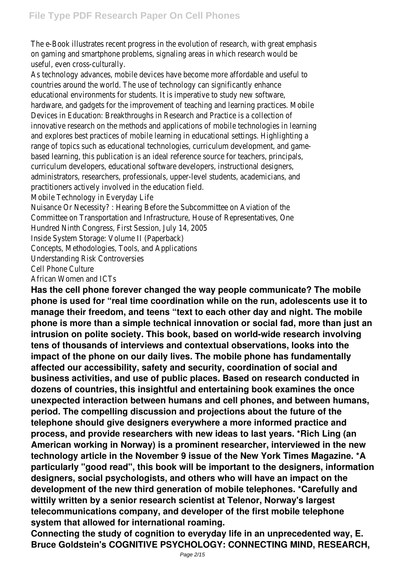The e-Book illustrates recent progress in the evolution of research, with great emphasis on gaming and smartphone problems, signaling areas in which research would be useful, even cross-culturally.

As technology advances, mobile devices have become more affordable and useful to countries around the world. The use of technology can significantly enhance educational environments for students. It is imperative to study new software, hardware, and gadgets for the improvement of teaching and learning practices. Mobile Devices in Education: Breakthroughs in Research and Practice is a collection of innovative research on the methods and applications of mobile technologies in learning and explores best practices of mobile learning in educational settings. Highlighting a range of topics such as educational technologies, curriculum development, and gamebased learning, this publication is an ideal reference source for teachers, principals, curriculum developers, educational software developers, instructional designers, administrators, researchers, professionals, upper-level students, academicians, and practitioners actively involved in the education field.

Mobile Technology in Everyday Life

Nuisance Or Necessity? : Hearing Before the Subcommittee on Aviation of the Committee on Transportation and Infrastructure, House of Representatives, One Hundred Ninth Congress, First Session, July 14, 2005

Inside System Storage: Volume II (Paperback)

Concepts, Methodologies, Tools, and Applications

Understanding Risk Controversies

Cell Phone Culture

African Women and ICTs

**Has the cell phone forever changed the way people communicate? The mobile phone is used for "real time coordination while on the run, adolescents use it to manage their freedom, and teens "text to each other day and night. The mobile phone is more than a simple technical innovation or social fad, more than just an intrusion on polite society. This book, based on world-wide research involving tens of thousands of interviews and contextual observations, looks into the impact of the phone on our daily lives. The mobile phone has fundamentally affected our accessibility, safety and security, coordination of social and business activities, and use of public places. Based on research conducted in dozens of countries, this insightful and entertaining book examines the once unexpected interaction between humans and cell phones, and between humans, period. The compelling discussion and projections about the future of the telephone should give designers everywhere a more informed practice and process, and provide researchers with new ideas to last years. \*Rich Ling (an American working in Norway) is a prominent researcher, interviewed in the new technology article in the November 9 issue of the New York Times Magazine. \*A particularly "good read", this book will be important to the designers, information designers, social psychologists, and others who will have an impact on the development of the new third generation of mobile telephones. \*Carefully and wittily written by a senior research scientist at Telenor, Norway's largest telecommunications company, and developer of the first mobile telephone system that allowed for international roaming.**

**Connecting the study of cognition to everyday life in an unprecedented way, E. Bruce Goldstein's COGNITIVE PSYCHOLOGY: CONNECTING MIND, RESEARCH,**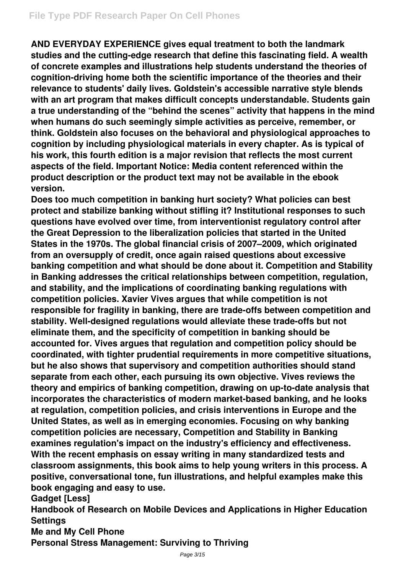**AND EVERYDAY EXPERIENCE gives equal treatment to both the landmark studies and the cutting-edge research that define this fascinating field. A wealth of concrete examples and illustrations help students understand the theories of cognition-driving home both the scientific importance of the theories and their relevance to students' daily lives. Goldstein's accessible narrative style blends with an art program that makes difficult concepts understandable. Students gain a true understanding of the "behind the scenes" activity that happens in the mind when humans do such seemingly simple activities as perceive, remember, or think. Goldstein also focuses on the behavioral and physiological approaches to cognition by including physiological materials in every chapter. As is typical of his work, this fourth edition is a major revision that reflects the most current aspects of the field. Important Notice: Media content referenced within the product description or the product text may not be available in the ebook version.**

**Does too much competition in banking hurt society? What policies can best protect and stabilize banking without stifling it? Institutional responses to such questions have evolved over time, from interventionist regulatory control after the Great Depression to the liberalization policies that started in the United States in the 1970s. The global financial crisis of 2007–2009, which originated from an oversupply of credit, once again raised questions about excessive banking competition and what should be done about it. Competition and Stability in Banking addresses the critical relationships between competition, regulation, and stability, and the implications of coordinating banking regulations with competition policies. Xavier Vives argues that while competition is not responsible for fragility in banking, there are trade-offs between competition and stability. Well-designed regulations would alleviate these trade-offs but not eliminate them, and the specificity of competition in banking should be accounted for. Vives argues that regulation and competition policy should be coordinated, with tighter prudential requirements in more competitive situations, but he also shows that supervisory and competition authorities should stand separate from each other, each pursuing its own objective. Vives reviews the theory and empirics of banking competition, drawing on up-to-date analysis that incorporates the characteristics of modern market-based banking, and he looks at regulation, competition policies, and crisis interventions in Europe and the United States, as well as in emerging economies. Focusing on why banking competition policies are necessary, Competition and Stability in Banking examines regulation's impact on the industry's efficiency and effectiveness. With the recent emphasis on essay writing in many standardized tests and classroom assignments, this book aims to help young writers in this process. A positive, conversational tone, fun illustrations, and helpful examples make this book engaging and easy to use.**

### **Gadget [Less]**

**Handbook of Research on Mobile Devices and Applications in Higher Education Settings**

**Me and My Cell Phone**

**Personal Stress Management: Surviving to Thriving**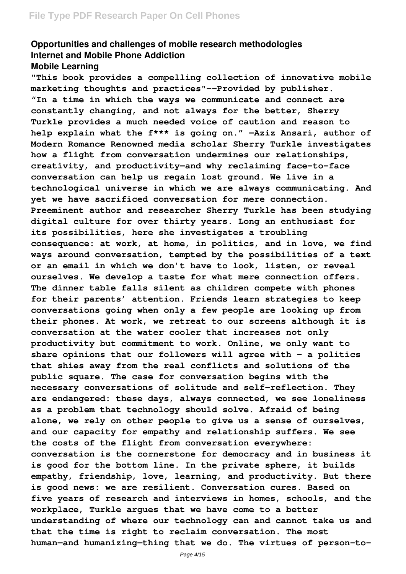#### **Opportunities and challenges of mobile research methodologies Internet and Mobile Phone Addiction Mobile Learning**

**"This book provides a compelling collection of innovative mobile marketing thoughts and practices"--Provided by publisher. "In a time in which the ways we communicate and connect are constantly changing, and not always for the better, Sherry Turkle provides a much needed voice of caution and reason to help explain what the f\*\*\* is going on." —Aziz Ansari, author of Modern Romance Renowned media scholar Sherry Turkle investigates how a flight from conversation undermines our relationships, creativity, and productivity—and why reclaiming face-to-face conversation can help us regain lost ground. We live in a technological universe in which we are always communicating. And yet we have sacrificed conversation for mere connection. Preeminent author and researcher Sherry Turkle has been studying digital culture for over thirty years. Long an enthusiast for its possibilities, here she investigates a troubling consequence: at work, at home, in politics, and in love, we find ways around conversation, tempted by the possibilities of a text or an email in which we don't have to look, listen, or reveal ourselves. We develop a taste for what mere connection offers. The dinner table falls silent as children compete with phones for their parents' attention. Friends learn strategies to keep conversations going when only a few people are looking up from their phones. At work, we retreat to our screens although it is conversation at the water cooler that increases not only productivity but commitment to work. Online, we only want to share opinions that our followers will agree with – a politics that shies away from the real conflicts and solutions of the public square. The case for conversation begins with the necessary conversations of solitude and self-reflection. They are endangered: these days, always connected, we see loneliness as a problem that technology should solve. Afraid of being alone, we rely on other people to give us a sense of ourselves, and our capacity for empathy and relationship suffers. We see the costs of the flight from conversation everywhere: conversation is the cornerstone for democracy and in business it is good for the bottom line. In the private sphere, it builds empathy, friendship, love, learning, and productivity. But there is good news: we are resilient. Conversation cures. Based on five years of research and interviews in homes, schools, and the workplace, Turkle argues that we have come to a better understanding of where our technology can and cannot take us and that the time is right to reclaim conversation. The most human—and humanizing—thing that we do. The virtues of person-to-**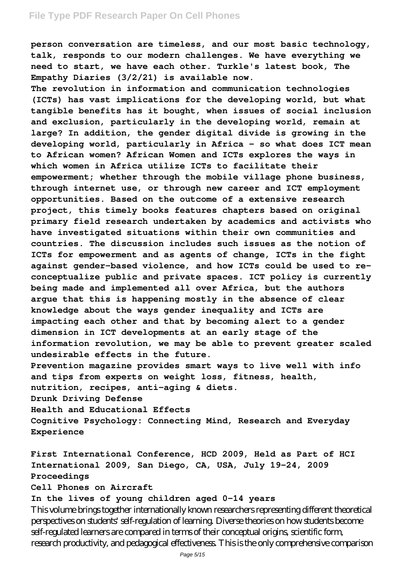**person conversation are timeless, and our most basic technology, talk, responds to our modern challenges. We have everything we need to start, we have each other. Turkle's latest book, The Empathy Diaries (3/2/21) is available now.**

**The revolution in information and communication technologies (ICTs) has vast implications for the developing world, but what tangible benefits has it bought, when issues of social inclusion and exclusion, particularly in the developing world, remain at large? In addition, the gender digital divide is growing in the developing world, particularly in Africa - so what does ICT mean to African women? African Women and ICTs explores the ways in which women in Africa utilize ICTs to facilitate their empowerment; whether through the mobile village phone business, through internet use, or through new career and ICT employment opportunities. Based on the outcome of a extensive research project, this timely books features chapters based on original primary field research undertaken by academics and activists who have investigated situations within their own communities and countries. The discussion includes such issues as the notion of ICTs for empowerment and as agents of change, ICTs in the fight against gender-based violence, and how ICTs could be used to reconceptualize public and private spaces. ICT policy is currently being made and implemented all over Africa, but the authors argue that this is happening mostly in the absence of clear knowledge about the ways gender inequality and ICTs are impacting each other and that by becoming alert to a gender dimension in ICT developments at an early stage of the information revolution, we may be able to prevent greater scaled undesirable effects in the future. Prevention magazine provides smart ways to live well with info and tips from experts on weight loss, fitness, health,**

**nutrition, recipes, anti-aging & diets.**

**Drunk Driving Defense**

**Health and Educational Effects**

**Cognitive Psychology: Connecting Mind, Research and Everyday Experience**

**First International Conference, HCD 2009, Held as Part of HCI International 2009, San Diego, CA, USA, July 19-24, 2009 Proceedings Cell Phones on Aircraft In the lives of young children aged 0-14 years** This volume brings together internationally known researchers representing different theoretical

perspectives on students' self-regulation of learning. Diverse theories on how students become self-regulated learners are compared in terms of their conceptual origins, scientific form, research productivity, and pedagogical effectiveness. This is the only comprehensive comparison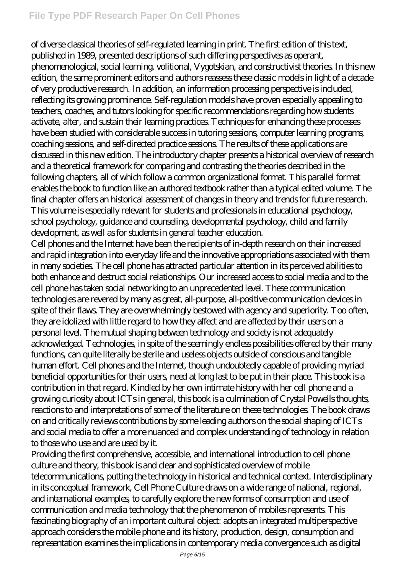of diverse classical theories of self-regulated learning in print. The first edition of this text, published in 1989, presented descriptions of such differing perspectives as operant, phenomenological, social learning, volitional, Vygotskian, and constructivist theories. In this new edition, the same prominent editors and authors reassess these classic models in light of a decade of very productive research. In addition, an information processing perspective is included, reflecting its growing prominence. Self-regulation models have proven especially appealing to teachers, coaches, and tutors looking for specific recommendations regarding how students activate, alter, and sustain their learning practices. Techniques for enhancing these processes have been studied with considerable success in tutoring sessions, computer learning programs, coaching sessions, and self-directed practice sessions. The results of these applications are discussed in this new edition. The introductory chapter presents a historical overview of research and a theoretical framework for comparing and contrasting the theories described in the following chapters, all of which follow a common organizational format. This parallel format enables the book to function like an authored textbook rather than a typical edited volume. The final chapter offers an historical assessment of changes in theory and trends for future research. This volume is especially relevant for students and professionals in educational psychology, school psychology, guidance and counseling, developmental psychology, child and family development, as well as for students in general teacher education.

Cell phones and the Internet have been the recipients of in-depth research on their increased and rapid integration into everyday life and the innovative appropriations associated with them in many societies. The cell phone has attracted particular attention in its perceived abilities to both enhance and destruct social relationships. Our increased access to social media and to the cell phone has taken social networking to an unprecedented level. These communication technologies are revered by many as great, all-purpose, all-positive communication devices in spite of their flaws. They are overwhelmingly bestowed with agency and superiority. Too often, they are idolized with little regard to how they affect and are affected by their users on a personal level. The mutual shaping between technology and society is not adequately acknowledged. Technologies, in spite of the seemingly endless possibilities offered by their many functions, can quite literally be sterile and useless objects outside of conscious and tangible human effort. Cell phones and the Internet, though undoubtedly capable of providing myriad beneficial opportunities for their users, need at long last to be put in their place. This book is a contribution in that regard. Kindled by her own intimate history with her cell phone and a growing curiosity about ICTs in general, this book is a culmination of Crystal Powells thoughts, reactions to and interpretations of some of the literature on these technologies. The book draws on and critically reviews contributions by some leading authors on the social shaping of ICTs and social media to offer a more nuanced and complex understanding of technology in relation to those who use and are used by it.

Providing the first comprehensive, accessible, and international introduction to cell phone culture and theory, this book is and clear and sophisticated overview of mobile telecommunications, putting the technology in historical and technical context. Interdisciplinary in its conceptual framework, Cell Phone Culture draws on a wide range of national, regional, and international examples, to carefully explore the new forms of consumption and use of communication and media technology that the phenomenon of mobiles represents. This fascinating biography of an important cultural object: adopts an integrated multiperspective approach considers the mobile phone and its history, production, design, consumption and representation examines the implications in contemporary media convergence such as digital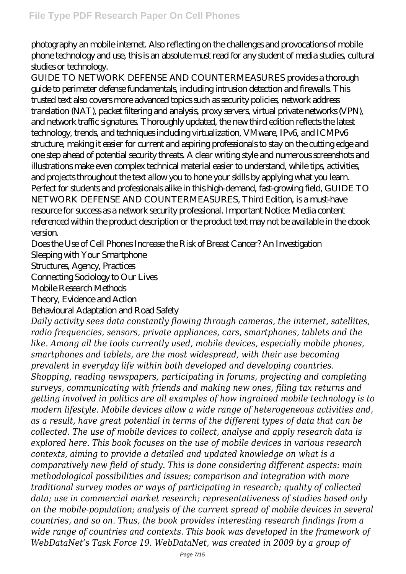photography an mobile internet. Also reflecting on the challenges and provocations of mobile phone technology and use, this is an absolute must read for any student of media studies, cultural studies or technology.

GUIDE TO NETWORK DEFENSE AND COUNTERMEASURES provides a thorough guide to perimeter defense fundamentals, including intrusion detection and firewalls. This trusted text also covers more advanced topics such as security policies, network address translation (NAT), packet filtering and analysis, proxy servers, virtual private networks (VPN), and network traffic signatures. Thoroughly updated, the new third edition reflects the latest technology, trends, and techniques including virtualization, VMware, IPv6, and ICMPv6 structure, making it easier for current and aspiring professionals to stay on the cutting edge and one step ahead of potential security threats. A clear writing style and numerous screenshots and illustrations make even complex technical material easier to understand, while tips, activities, and projects throughout the text allow you to hone your skills by applying what you learn. Perfect for students and professionals alike in this high-demand, fast-growing field, GUIDE TO NETWORK DEFENSE AND COUNTERMEASURES, Third Edition, is a must-have resource for success as a network security professional. Important Notice: Media content referenced within the product description or the product text may not be available in the ebook version.

Does the Use of Cell Phones Increase the Risk of Breast Cancer? An Investigation

Sleeping with Your Smartphone

Structures, Agency, Practices

Connecting Sociology to Our Lives

Mobile Research Methods

Theory, Evidence and Action

### Behavioural Adaptation and Road Safety

*Daily activity sees data constantly flowing through cameras, the internet, satellites, radio frequencies, sensors, private appliances, cars, smartphones, tablets and the like. Among all the tools currently used, mobile devices, especially mobile phones, smartphones and tablets, are the most widespread, with their use becoming prevalent in everyday life within both developed and developing countries. Shopping, reading newspapers, participating in forums, projecting and completing surveys, communicating with friends and making new ones, filing tax returns and getting involved in politics are all examples of how ingrained mobile technology is to modern lifestyle. Mobile devices allow a wide range of heterogeneous activities and, as a result, have great potential in terms of the different types of data that can be collected. The use of mobile devices to collect, analyse and apply research data is explored here. This book focuses on the use of mobile devices in various research contexts, aiming to provide a detailed and updated knowledge on what is a comparatively new field of study. This is done considering different aspects: main methodological possibilities and issues; comparison and integration with more traditional survey modes or ways of participating in research; quality of collected data; use in commercial market research; representativeness of studies based only on the mobile-population; analysis of the current spread of mobile devices in several countries, and so on. Thus, the book provides interesting research findings from a wide range of countries and contexts. This book was developed in the framework of WebDataNet's Task Force 19. WebDataNet, was created in 2009 by a group of*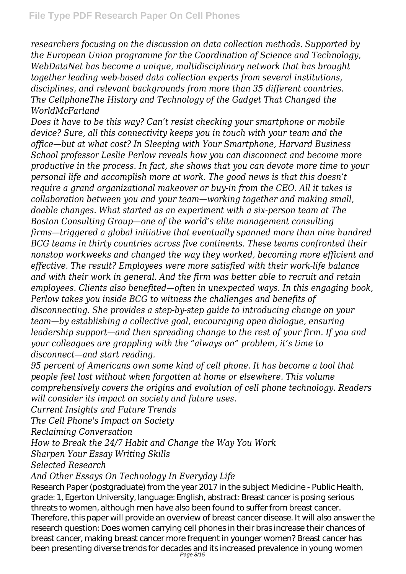*researchers focusing on the discussion on data collection methods. Supported by the European Union programme for the Coordination of Science and Technology, WebDataNet has become a unique, multidisciplinary network that has brought together leading web-based data collection experts from several institutions, disciplines, and relevant backgrounds from more than 35 different countries. The CellphoneThe History and Technology of the Gadget That Changed the WorldMcFarland*

*Does it have to be this way? Can't resist checking your smartphone or mobile device? Sure, all this connectivity keeps you in touch with your team and the office—but at what cost? In Sleeping with Your Smartphone, Harvard Business School professor Leslie Perlow reveals how you can disconnect and become more productive in the process. In fact, she shows that you can devote more time to your personal life and accomplish more at work. The good news is that this doesn't require a grand organizational makeover or buy-in from the CEO. All it takes is collaboration between you and your team—working together and making small, doable changes. What started as an experiment with a six-person team at The Boston Consulting Group—one of the world's elite management consulting firms—triggered a global initiative that eventually spanned more than nine hundred BCG teams in thirty countries across five continents. These teams confronted their nonstop workweeks and changed the way they worked, becoming more efficient and effective. The result? Employees were more satisfied with their work-life balance and with their work in general. And the firm was better able to recruit and retain employees. Clients also benefited—often in unexpected ways. In this engaging book, Perlow takes you inside BCG to witness the challenges and benefits of disconnecting. She provides a step-by-step guide to introducing change on your team—by establishing a collective goal, encouraging open dialogue, ensuring leadership support—and then spreading change to the rest of your firm. If you and your colleagues are grappling with the "always on" problem, it's time to disconnect—and start reading.*

*95 percent of Americans own some kind of cell phone. It has become a tool that people feel lost without when forgotten at home or elsewhere. This volume comprehensively covers the origins and evolution of cell phone technology. Readers will consider its impact on society and future uses.*

*Current Insights and Future Trends*

*The Cell Phone's Impact on Society*

*Reclaiming Conversation*

*How to Break the 24/7 Habit and Change the Way You Work*

*Sharpen Your Essay Writing Skills*

*Selected Research*

*And Other Essays On Technology In Everyday Life*

Research Paper (postgraduate) from the year 2017 in the subject Medicine - Public Health, grade: 1, Egerton University, language: English, abstract: Breast cancer is posing serious threats to women, although men have also been found to suffer from breast cancer. Therefore, this paper will provide an overview of breast cancer disease. It will also answer the research question: Does women carrying cell phones in their bras increase their chances of breast cancer, making breast cancer more frequent in younger women? Breast cancer has been presenting diverse trends for decades and its increased prevalence in young women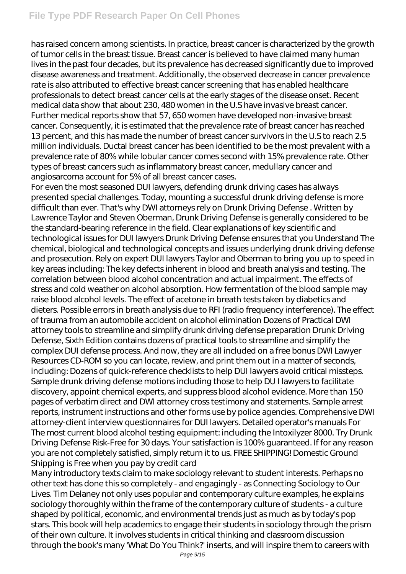has raised concern among scientists. In practice, breast cancer is characterized by the growth of tumor cells in the breast tissue. Breast cancer is believed to have claimed many human lives in the past four decades, but its prevalence has decreased significantly due to improved disease awareness and treatment. Additionally, the observed decrease in cancer prevalence rate is also attributed to effective breast cancer screening that has enabled healthcare professionals to detect breast cancer cells at the early stages of the disease onset. Recent medical data show that about 230, 480 women in the U.S have invasive breast cancer. Further medical reports show that 57, 650 women have developed non-invasive breast cancer. Consequently, it is estimated that the prevalence rate of breast cancer has reached 13 percent, and this has made the number of breast cancer survivors in the U.S to reach 2.5 million individuals. Ductal breast cancer has been identified to be the most prevalent with a prevalence rate of 80% while lobular cancer comes second with 15% prevalence rate. Other types of breast cancers such as inflammatory breast cancer, medullary cancer and angiosarcoma account for 5% of all breast cancer cases.

For even the most seasoned DUI lawyers, defending drunk driving cases has always presented special challenges. Today, mounting a successful drunk driving defense is more difficult than ever. That's why DWI attorneys rely on Drunk Driving Defense . Written by Lawrence Taylor and Steven Oberman, Drunk Driving Defense is generally considered to be the standard-bearing reference in the field. Clear explanations of key scientific and technological issues for DUI lawyers Drunk Driving Defense ensures that you Understand The chemical, biological and technological concepts and issues underlying drunk driving defense and prosecution. Rely on expert DUI lawyers Taylor and Oberman to bring you up to speed in key areas including: The key defects inherent in blood and breath analysis and testing. The correlation between blood alcohol concentration and actual impairment. The effects of stress and cold weather on alcohol absorption. How fermentation of the blood sample may raise blood alcohol levels. The effect of acetone in breath tests taken by diabetics and dieters. Possible errors in breath analysis due to RFI (radio frequency interference). The effect of trauma from an automobile accident on alcohol elimination Dozens of Practical DWI attorney tools to streamline and simplify drunk driving defense preparation Drunk Driving Defense, Sixth Edition contains dozens of practical tools to streamline and simplify the complex DUI defense process. And now, they are all included on a free bonus DWI Lawyer Resources CD-ROM so you can locate, review, and print them out in a matter of seconds, including: Dozens of quick-reference checklists to help DUI lawyers avoid critical missteps. Sample drunk driving defense motions including those to help DU I lawyers to facilitate discovery, appoint chemical experts, and suppress blood alcohol evidence. More than 150 pages of verbatim direct and DWI attorney cross testimony and statements. Sample arrest reports, instrument instructions and other forms use by police agencies. Comprehensive DWI attorney-client interview questionnaires for DUI lawyers. Detailed operator's manuals For The most current blood alcohol testing equipment: including the Intoxilyzer 8000. Try Drunk Driving Defense Risk-Free for 30 days. Your satisfaction is 100% guaranteed. If for any reason you are not completely satisfied, simply return it to us. FREE SHIPPING! Domestic Ground Shipping is Free when you pay by credit card

Many introductory texts claim to make sociology relevant to student interests. Perhaps no other text has done this so completely - and engagingly - as Connecting Sociology to Our Lives. Tim Delaney not only uses popular and contemporary culture examples, he explains sociology thoroughly within the frame of the contemporary culture of students - a culture shaped by political, economic, and environmental trends just as much as by today's pop stars. This book will help academics to engage their students in sociology through the prism of their own culture. It involves students in critical thinking and classroom discussion through the book's many 'What Do You Think?' inserts, and will inspire them to careers with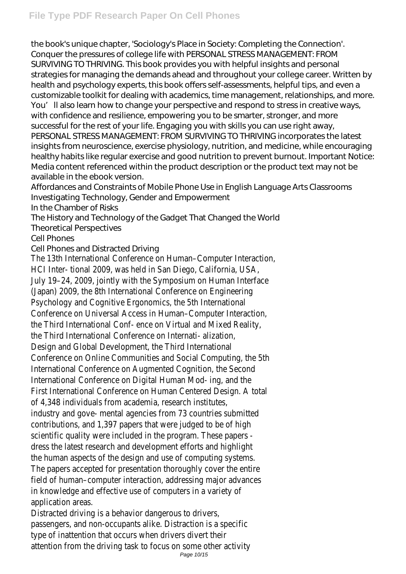the book's unique chapter, 'Sociology's Place in Society: Completing the Connection'. Conquer the pressures of college life with PERSONAL STRESS MANAGEMENT: FROM SURVIVING TO THRIVING. This book provides you with helpful insights and personal strategies for managing the demands ahead and throughout your college career. Written by health and psychology experts, this book offers self-assessments, helpful tips, and even a customizable toolkit for dealing with academics, time management, relationships, and more. You'll also learn how to change your perspective and respond to stress in creative ways, with confidence and resilience, empowering you to be smarter, stronger, and more successful for the rest of your life. Engaging you with skills you can use right away, PERSONAL STRESS MANAGEMENT: FROM SURVIVING TO THRIVING incorporates the latest insights from neuroscience, exercise physiology, nutrition, and medicine, while encouraging healthy habits like regular exercise and good nutrition to prevent burnout. Important Notice: Media content referenced within the product description or the product text may not be available in the ebook version.

Affordances and Constraints of Mobile Phone Use in English Language Arts Classrooms Investigating Technology, Gender and Empowerment

In the Chamber of Risks

The History and Technology of the Gadget That Changed the World

Theoretical Perspectives

Cell Phones

Cell Phones and Distracted Driving

The 13th International Conference on Human–Computer Interaction, HCI Inter- tional 2009, was held in San Diego, California, USA, July 19–24, 2009, jointly with the Symposium on Human Interface (Japan) 2009, the 8th International Conference on Engineering Psychology and Cognitive Ergonomics, the 5th International Conference on Universal Access in Human–Computer Interaction, the Third International Conf- ence on Virtual and Mixed Reality, the Third International Conference on Internati- alization, Design and Global Development, the Third International Conference on Online Communities and Social Computing, the 5th International Conference on Augmented Cognition, the Second International Conference on Digital Human Mod- ing, and the First International Conference on Human Centered Design. A total of 4,348 individuals from academia, research institutes, industry and gove- mental agencies from 73 countries submitted contributions, and 1,397 papers that were judged to be of high scientific quality were included in the program. These papers dress the latest research and development efforts and highlight the human aspects of the design and use of computing systems. The papers accepted for presentation thoroughly cover the entire field of human–computer interaction, addressing major advances in knowledge and effective use of computers in a variety of application areas.

Distracted driving is a behavior dangerous to drivers, passengers, and non-occupants alike. Distraction is a specific type of inattention that occurs when drivers divert their attention from the driving task to focus on some other activity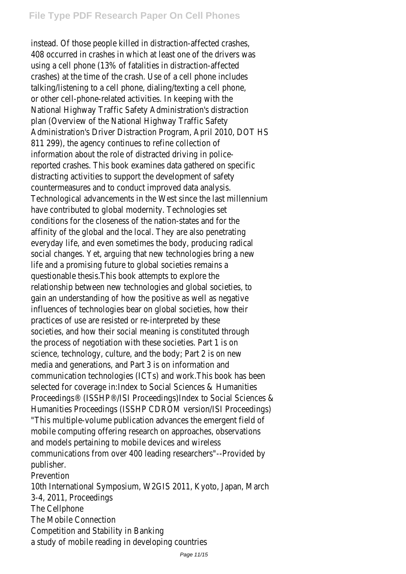instead. Of those people killed in distraction-affected crashes, 408 occurred in crashes in which at least one of the drivers was using a cell phone (13% of fatalities in distraction-affected crashes) at the time of the crash. Use of a cell phone includes talking/listening to a cell phone, dialing/texting a cell phone, or other cell-phone-related activities. In keeping with the National Highway Traffic Safety Administration's distraction plan (Overview of the National Highway Traffic Safety Administration's Driver Distraction Program, April 2010, DOT HS 811 299), the agency continues to refine collection of information about the role of distracted driving in policereported crashes. This book examines data gathered on specific distracting activities to support the development of safety countermeasures and to conduct improved data analysis. Technological advancements in the West since the last millennium have contributed to global modernity. Technologies set conditions for the closeness of the nation-states and for the affinity of the global and the local. They are also penetrating everyday life, and even sometimes the body, producing radical social changes. Yet, arguing that new technologies bring a new life and a promising future to global societies remains a questionable thesis.This book attempts to explore the relationship between new technologies and global societies, to gain an understanding of how the positive as well as negative influences of technologies bear on global societies, how their practices of use are resisted or re-interpreted by these societies, and how their social meaning is constituted through the process of negotiation with these societies. Part 1 is on science, technology, culture, and the body; Part 2 is on new media and generations, and Part 3 is on information and communication technologies (ICTs) and work.This book has been selected for coverage in:Index to Social Sciences & Humanities Proceedings® (ISSHP®/ISI Proceedings)Index to Social Sciences & Humanities Proceedings (ISSHP CDROM version/ISI Proceedings) "This multiple-volume publication advances the emergent field of mobile computing offering research on approaches, observations and models pertaining to mobile devices and wireless communications from over 400 leading researchers"--Provided by publisher. Prevention

10th International Symposium, W2GIS 2011, Kyoto, Japan, March 3-4, 2011, Proceedings The Cellphone The Mobile Connection Competition and Stability in Banking a study of mobile reading in developing countries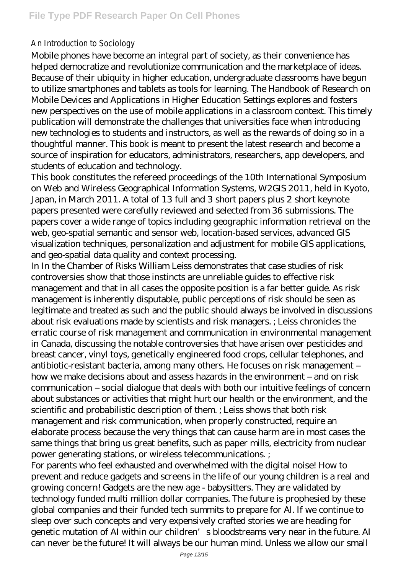# An Introduction to Sociology

Mobile phones have become an integral part of society, as their convenience has helped democratize and revolutionize communication and the marketplace of ideas. Because of their ubiquity in higher education, undergraduate classrooms have begun to utilize smartphones and tablets as tools for learning. The Handbook of Research on Mobile Devices and Applications in Higher Education Settings explores and fosters new perspectives on the use of mobile applications in a classroom context. This timely publication will demonstrate the challenges that universities face when introducing new technologies to students and instructors, as well as the rewards of doing so in a thoughtful manner. This book is meant to present the latest research and become a source of inspiration for educators, administrators, researchers, app developers, and students of education and technology.

This book constitutes the refereed proceedings of the 10th International Symposium on Web and Wireless Geographical Information Systems, W2GIS 2011, held in Kyoto, Japan, in March 2011. A total of 13 full and 3 short papers plus 2 short keynote papers presented were carefully reviewed and selected from 36 submissions. The papers cover a wide range of topics including geographic information retrieval on the web, geo-spatial semantic and sensor web, location-based services, advanced GIS visualization techniques, personalization and adjustment for mobile GIS applications, and geo-spatial data quality and context processing.

In In the Chamber of Risks William Leiss demonstrates that case studies of risk controversies show that those instincts are unreliable guides to effective risk management and that in all cases the opposite position is a far better guide. As risk management is inherently disputable, public perceptions of risk should be seen as legitimate and treated as such and the public should always be involved in discussions about risk evaluations made by scientists and risk managers. ; Leiss chronicles the erratic course of risk management and communication in environmental management in Canada, discussing the notable controversies that have arisen over pesticides and breast cancer, vinyl toys, genetically engineered food crops, cellular telephones, and antibiotic-resistant bacteria, among many others. He focuses on risk management – how we make decisions about and assess hazards in the environment – and on risk communication – social dialogue that deals with both our intuitive feelings of concern about substances or activities that might hurt our health or the environment, and the scientific and probabilistic description of them. ; Leiss shows that both risk management and risk communication, when properly constructed, require an elaborate process because the very things that can cause harm are in most cases the same things that bring us great benefits, such as paper mills, electricity from nuclear power generating stations, or wireless telecommunications. ;

For parents who feel exhausted and overwhelmed with the digital noise! How to prevent and reduce gadgets and screens in the life of our young children is a real and growing concern! Gadgets are the new age - babysitters. They are validated by technology funded multi million dollar companies. The future is prophesied by these global companies and their funded tech summits to prepare for AI. If we continue to sleep over such concepts and very expensively crafted stories we are heading for genetic mutation of AI within our children's bloodstreams very near in the future. AI can never be the future! It will always be our human mind. Unless we allow our small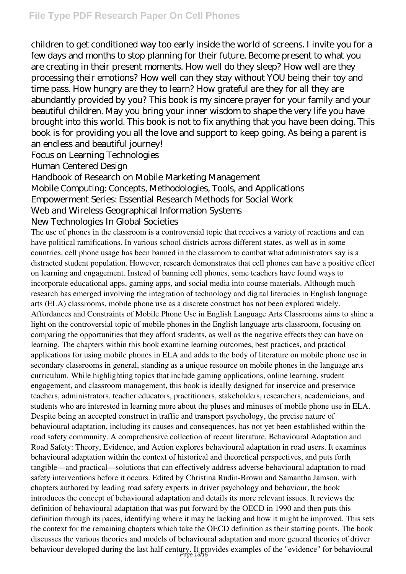children to get conditioned way too early inside the world of screens. I invite you for a few days and months to stop planning for their future. Become present to what you are creating in their present moments. How well do they sleep? How well are they processing their emotions? How well can they stay without YOU being their toy and time pass. How hungry are they to learn? How grateful are they for all they are abundantly provided by you? This book is my sincere prayer for your family and your beautiful children. May you bring your inner wisdom to shape the very life you have brought into this world. This book is not to fix anything that you have been doing. This book is for providing you all the love and support to keep going. As being a parent is an endless and beautiful journey!

Focus on Learning Technologies

Human Centered Design

Handbook of Research on Mobile Marketing Management

Mobile Computing: Concepts, Methodologies, Tools, and Applications

Empowerment Series: Essential Research Methods for Social Work

Web and Wireless Geographical Information Systems

#### New Technologies In Global Societies

The use of phones in the classroom is a controversial topic that receives a variety of reactions and can have political ramifications. In various school districts across different states, as well as in some countries, cell phone usage has been banned in the classroom to combat what administrators say is a distracted student population. However, research demonstrates that cell phones can have a positive effect on learning and engagement. Instead of banning cell phones, some teachers have found ways to incorporate educational apps, gaming apps, and social media into course materials. Although much research has emerged involving the integration of technology and digital literacies in English language arts (ELA) classrooms, mobile phone use as a discrete construct has not been explored widely. Affordances and Constraints of Mobile Phone Use in English Language Arts Classrooms aims to shine a light on the controversial topic of mobile phones in the English language arts classroom, focusing on comparing the opportunities that they afford students, as well as the negative effects they can have on learning. The chapters within this book examine learning outcomes, best practices, and practical applications for using mobile phones in ELA and adds to the body of literature on mobile phone use in secondary classrooms in general, standing as a unique resource on mobile phones in the language arts curriculum. While highlighting topics that include gaming applications, online learning, student engagement, and classroom management, this book is ideally designed for inservice and preservice teachers, administrators, teacher educators, practitioners, stakeholders, researchers, academicians, and students who are interested in learning more about the pluses and minuses of mobile phone use in ELA. Despite being an accepted construct in traffic and transport psychology, the precise nature of behavioural adaptation, including its causes and consequences, has not yet been established within the road safety community. A comprehensive collection of recent literature, Behavioural Adaptation and Road Safety: Theory, Evidence, and Action explores behavioural adaptation in road users. It examines behavioural adaptation within the context of historical and theoretical perspectives, and puts forth tangible—and practical—solutions that can effectively address adverse behavioural adaptation to road safety interventions before it occurs. Edited by Christina Rudin-Brown and Samantha Jamson, with chapters authored by leading road safety experts in driver psychology and behaviour, the book introduces the concept of behavioural adaptation and details its more relevant issues. It reviews the definition of behavioural adaptation that was put forward by the OECD in 1990 and then puts this definition through its paces, identifying where it may be lacking and how it might be improved. This sets the context for the remaining chapters which take the OECD definition as their starting points. The book discusses the various theories and models of behavioural adaptation and more general theories of driver behaviour developed during the last half century. It provides examples of the "evidence" for behavioural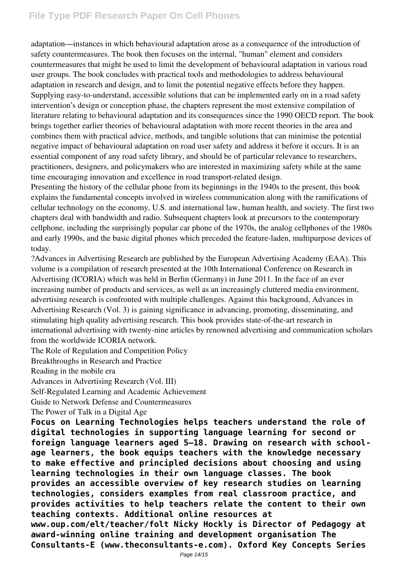adaptation—instances in which behavioural adaptation arose as a consequence of the introduction of safety countermeasures. The book then focuses on the internal, "human" element and considers countermeasures that might be used to limit the development of behavioural adaptation in various road user groups. The book concludes with practical tools and methodologies to address behavioural adaptation in research and design, and to limit the potential negative effects before they happen. Supplying easy-to-understand, accessible solutions that can be implemented early on in a road safety intervention's design or conception phase, the chapters represent the most extensive compilation of literature relating to behavioural adaptation and its consequences since the 1990 OECD report. The book brings together earlier theories of behavioural adaptation with more recent theories in the area and combines them with practical advice, methods, and tangible solutions that can minimise the potential negative impact of behavioural adaptation on road user safety and address it before it occurs. It is an essential component of any road safety library, and should be of particular relevance to researchers, practitioners, designers, and policymakers who are interested in maximizing safety while at the same time encouraging innovation and excellence in road transport-related design.

Presenting the history of the cellular phone from its beginnings in the 1940s to the present, this book explains the fundamental concepts involved in wireless communication along with the ramifications of cellular technology on the economy, U.S. and international law, human health, and society. The first two chapters deal with bandwidth and radio. Subsequent chapters look at precursors to the contemporary cellphone, including the surprisingly popular car phone of the 1970s, the analog cellphones of the 1980s and early 1990s, and the basic digital phones which preceded the feature-laden, multipurpose devices of today.

?Advances in Advertising Research are published by the European Advertising Academy (EAA). This volume is a compilation of research presented at the 10th International Conference on Research in Advertising (ICORIA) which was held in Berlin (Germany) in June 2011. In the face of an ever increasing number of products and services, as well as an increasingly cluttered media environment, advertising research is confronted with multiple challenges. Against this background, Advances in Advertising Research (Vol. 3) is gaining significance in advancing, promoting, disseminating, and stimulating high quality advertising research. This book provides state-of-the-art research in international advertising with twenty-nine articles by renowned advertising and communication scholars from the worldwide ICORIA network.

The Role of Regulation and Competition Policy

Breakthroughs in Research and Practice

Reading in the mobile era

Advances in Advertising Research (Vol. III)

Self-Regulated Learning and Academic Achievement

Guide to Network Defense and Countermeasures

The Power of Talk in a Digital Age

**Focus on Learning Technologies helps teachers understand the role of digital technologies in supporting language learning for second or foreign language learners aged 5–18. Drawing on research with schoolage learners, the book equips teachers with the knowledge necessary to make effective and principled decisions about choosing and using learning technologies in their own language classes. The book provides an accessible overview of key research studies on learning technologies, considers examples from real classroom practice, and provides activities to help teachers relate the content to their own teaching contexts. Additional online resources at www.oup.com/elt/teacher/folt Nicky Hockly is Director of Pedagogy at award-winning online training and development organisation The Consultants-E (www.theconsultants-e.com). Oxford Key Concepts Series**